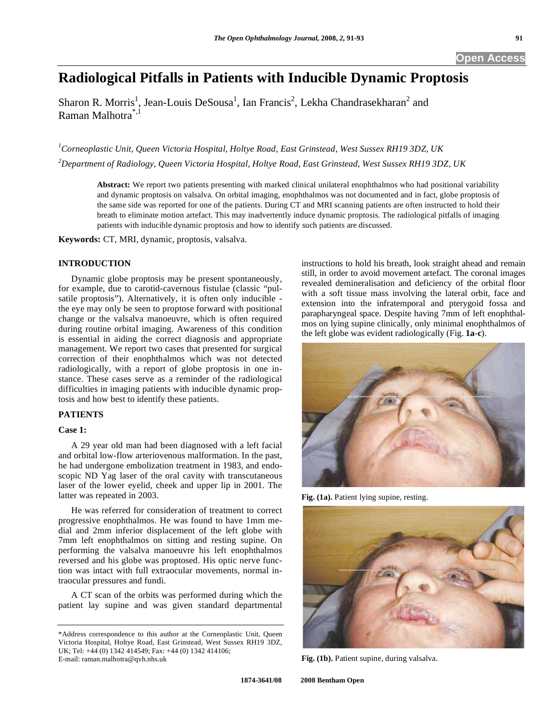# **Radiological Pitfalls in Patients with Inducible Dynamic Proptosis**

Sharon R. Morris<sup>1</sup>, Jean-Louis DeSousa<sup>1</sup>, Ian Francis<sup>2</sup>, Lekha Chandrasekharan<sup>2</sup> and Raman Malhotra\*,1

*1 Corneoplastic Unit, Queen Victoria Hospital, Holtye Road, East Grinstead, West Sussex RH19 3DZ, UK* 

*2 Department of Radiology, Queen Victoria Hospital, Holtye Road, East Grinstead, West Sussex RH19 3DZ, UK* 

**Abstract:** We report two patients presenting with marked clinical unilateral enophthalmos who had positional variability and dynamic proptosis on valsalva. On orbital imaging, enophthalmos was not documented and in fact, globe proptosis of the same side was reported for one of the patients. During CT and MRI scanning patients are often instructed to hold their breath to eliminate motion artefact. This may inadvertently induce dynamic proptosis. The radiological pitfalls of imaging patients with inducible dynamic proptosis and how to identify such patients are discussed.

**Keywords:** CT, MRI, dynamic, proptosis, valsalva.

## **INTRODUCTION**

 Dynamic globe proptosis may be present spontaneously, for example, due to carotid-cavernous fistulae (classic "pulsatile proptosis"). Alternatively, it is often only inducible the eye may only be seen to proptose forward with positional change or the valsalva manoeuvre, which is often required during routine orbital imaging. Awareness of this condition is essential in aiding the correct diagnosis and appropriate management. We report two cases that presented for surgical correction of their enophthalmos which was not detected radiologically, with a report of globe proptosis in one instance. These cases serve as a reminder of the radiological difficulties in imaging patients with inducible dynamic proptosis and how best to identify these patients.

## **PATIENTS**

## **Case 1:**

 A 29 year old man had been diagnosed with a left facial and orbital low-flow arteriovenous malformation. In the past, he had undergone embolization treatment in 1983, and endoscopic ND Yag laser of the oral cavity with transcutaneous laser of the lower eyelid, cheek and upper lip in 2001. The latter was repeated in 2003.

 He was referred for consideration of treatment to correct progressive enophthalmos. He was found to have 1mm medial and 2mm inferior displacement of the left globe with 7mm left enophthalmos on sitting and resting supine. On performing the valsalva manoeuvre his left enophthalmos reversed and his globe was proptosed. His optic nerve function was intact with full extraocular movements, normal intraocular pressures and fundi.

 A CT scan of the orbits was performed during which the patient lay supine and was given standard departmental instructions to hold his breath, look straight ahead and remain still, in order to avoid movement artefact. The coronal images revealed demineralisation and deficiency of the orbital floor with a soft tissue mass involving the lateral orbit, face and extension into the infratemporal and pterygoid fossa and parapharyngeal space. Despite having 7mm of left enophthalmos on lying supine clinically, only minimal enophthalmos of the left globe was evident radiologically (Fig. **1a**-**c**).



**Fig. (1a).** Patient lying supine, resting.



**Fig. (1b).** Patient supine, during valsalva.

<sup>\*</sup>Address correspondence to this author at the Corneoplastic Unit, Queen Victoria Hospital, Holtye Road, East Grinstead, West Sussex RH19 3DZ, UK; Tel: +44 (0) 1342 414549; Fax: +44 (0) 1342 414106; E-mail: raman.malhotra@qvh.nhs.uk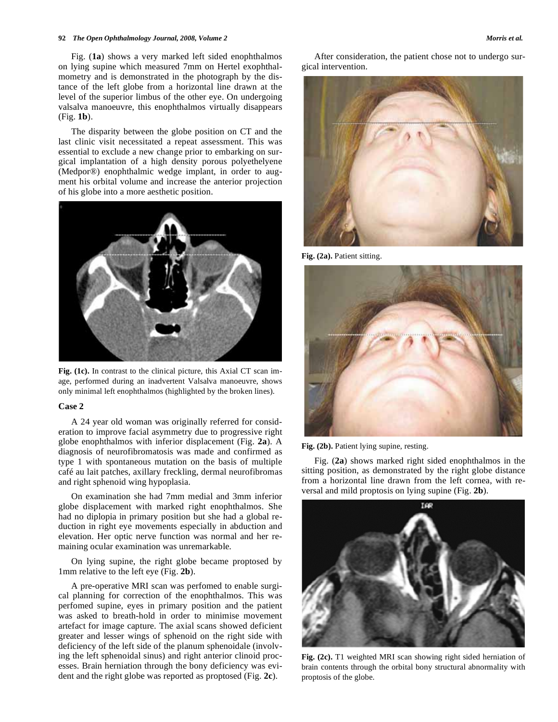#### **92** *The Open Ophthalmology Journal, 2008, Volume 2 Morris et al.*

 Fig. (**1a**) shows a very marked left sided enophthalmos on lying supine which measured 7mm on Hertel exophthalmometry and is demonstrated in the photograph by the distance of the left globe from a horizontal line drawn at the level of the superior limbus of the other eye. On undergoing valsalva manoeuvre, this enophthalmos virtually disappears (Fig. **1b**).

 The disparity between the globe position on CT and the last clinic visit necessitated a repeat assessment. This was essential to exclude a new change prior to embarking on surgical implantation of a high density porous polyethelyene (Medpor®) enophthalmic wedge implant, in order to augment his orbital volume and increase the anterior projection of his globe into a more aesthetic position.



**Fig. (1c).** In contrast to the clinical picture, this Axial CT scan image, performed during an inadvertent Valsalva manoeuvre, shows only minimal left enophthalmos (highlighted by the broken lines).

## **Case 2**

 A 24 year old woman was originally referred for consideration to improve facial asymmetry due to progressive right globe enophthalmos with inferior displacement (Fig. **2a**). A diagnosis of neurofibromatosis was made and confirmed as type 1 with spontaneous mutation on the basis of multiple café au lait patches, axillary freckling, dermal neurofibromas and right sphenoid wing hypoplasia.

 On examination she had 7mm medial and 3mm inferior globe displacement with marked right enophthalmos. She had no diplopia in primary position but she had a global reduction in right eye movements especially in abduction and elevation. Her optic nerve function was normal and her remaining ocular examination was unremarkable.

 On lying supine, the right globe became proptosed by 1mm relative to the left eye (Fig. **2b**).

 A pre-operative MRI scan was perfomed to enable surgical planning for correction of the enophthalmos. This was perfomed supine, eyes in primary position and the patient was asked to breath-hold in order to minimise movement artefact for image capture. The axial scans showed deficient greater and lesser wings of sphenoid on the right side with deficiency of the left side of the planum sphenoidale (involving the left sphenoidal sinus) and right anterior clinoid processes. Brain herniation through the bony deficiency was evident and the right globe was reported as proptosed (Fig. **2c**).

 After consideration, the patient chose not to undergo surgical intervention.



**Fig. (2a).** Patient sitting.



**Fig. (2b).** Patient lying supine, resting.

 Fig. (**2a**) shows marked right sided enophthalmos in the sitting position, as demonstrated by the right globe distance from a horizontal line drawn from the left cornea, with reversal and mild proptosis on lying supine (Fig. **2b**).



**Fig. (2c).** T1 weighted MRI scan showing right sided herniation of brain contents through the orbital bony structural abnormality with proptosis of the globe.